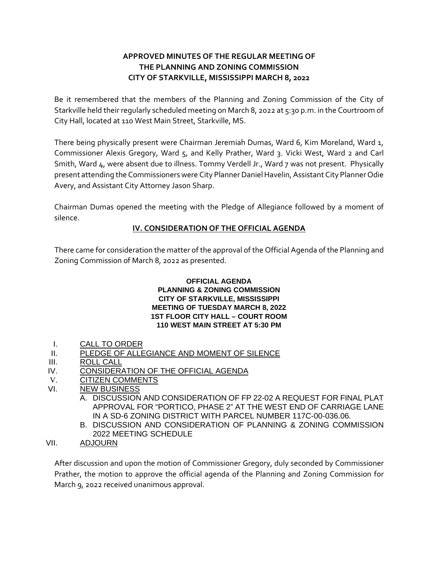# **APPROVED MINUTES OF THE REGULAR MEETING OF THE PLANNING AND ZONING COMMISSION CITY OF STARKVILLE, MISSISSIPPI MARCH 8, 2022**

Be it remembered that the members of the Planning and Zoning Commission of the City of Starkville held their regularly scheduled meeting on March 8, 2022 at 5:30 p.m. in the Courtroom of City Hall, located at 110 West Main Street, Starkville, MS.

There being physically present were Chairman Jeremiah Dumas, Ward 6, Kim Moreland, Ward 1, Commissioner Alexis Gregory, Ward 5, and Kelly Prather, Ward 3. Vicki West, Ward 2 and Carl Smith, Ward 4, were absent due to illness. Tommy Verdell Jr., Ward 7 was not present. Physically present attending the Commissioners were City Planner Daniel Havelin, Assistant City Planner Odie Avery, and Assistant City Attorney Jason Sharp.

Chairman Dumas opened the meeting with the Pledge of Allegiance followed by a moment of silence.

# **IV. CONSIDERATION OF THE OFFICIAL AGENDA**

There came for consideration the matter of the approval of the Official Agenda of the Planning and Zoning Commission of March 8, 2022 as presented.

## **OFFICIAL AGENDA**

#### **PLANNING & ZONING COMMISSION CITY OF STARKVILLE, MISSISSIPPI MEETING OF TUESDAY MARCH 8, 2022 1ST FLOOR CITY HALL – COURT ROOM 110 WEST MAIN STREET AT 5:30 PM**

- I. CALL TO ORDER
- II. PLEDGE OF ALLEGIANCE AND MOMENT OF SILENCE
- III. ROLL CALL
- IV. CONSIDERATION OF THE OFFICIAL AGENDA
- V. CITIZEN COMMENTS
- VI. NEW BUSINESS
	- A. DISCUSSION AND CONSIDERATION OF FP 22-02 A REQUEST FOR FINAL PLAT APPROVAL FOR "PORTICO, PHASE 2" AT THE WEST END OF CARRIAGE LANE IN A SD-6 ZONING DISTRICT WITH PARCEL NUMBER 117C-00-036.06.
	- B. DISCUSSION AND CONSIDERATION OF PLANNING & ZONING COMMISSION 2022 MEETING SCHEDULE
- VII. ADJOURN

After discussion and upon the motion of Commissioner Gregory, duly seconded by Commissioner Prather, the motion to approve the official agenda of the Planning and Zoning Commission for March 9, 2022 received unanimous approval.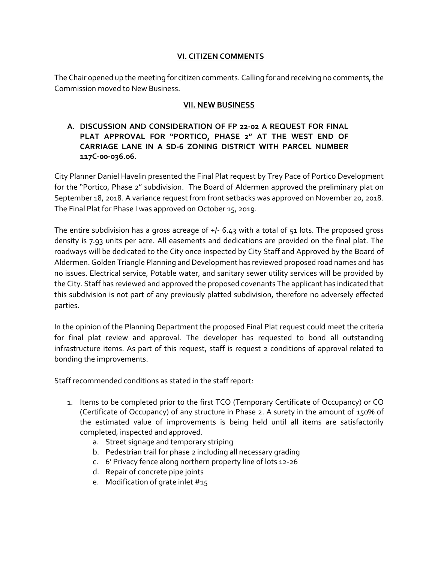#### **VI. CITIZEN COMMENTS**

The Chair opened up the meeting for citizen comments. Calling for and receiving no comments, the Commission moved to New Business.

#### **VII. NEW BUSINESS**

## **A. DISCUSSION AND CONSIDERATION OF FP 22-02 A REQUEST FOR FINAL PLAT APPROVAL FOR "PORTICO, PHASE 2" AT THE WEST END OF CARRIAGE LANE IN A SD-6 ZONING DISTRICT WITH PARCEL NUMBER 117C-00-036.06.**

City Planner Daniel Havelin presented the Final Plat request by Trey Pace of Portico Development for the "Portico, Phase 2" subdivision. The Board of Aldermen approved the preliminary plat on September 18, 2018. A variance request from front setbacks was approved on November 20, 2018. The Final Plat for Phase I was approved on October 15, 2019.

The entire subdivision has a gross acreage of +/- 6.43 with a total of 51 lots. The proposed gross density is 7.93 units per acre. All easements and dedications are provided on the final plat. The roadways will be dedicated to the City once inspected by City Staff and Approved by the Board of Aldermen. Golden Triangle Planning and Development has reviewed proposed road names and has no issues. Electrical service, Potable water, and sanitary sewer utility services will be provided by the City. Staff has reviewed and approved the proposed covenants The applicant has indicated that this subdivision is not part of any previously platted subdivision, therefore no adversely effected parties.

In the opinion of the Planning Department the proposed Final Plat request could meet the criteria for final plat review and approval. The developer has requested to bond all outstanding infrastructure items. As part of this request, staff is request 2 conditions of approval related to bonding the improvements.

Staff recommended conditions as stated in the staff report:

- 1. Items to be completed prior to the first TCO (Temporary Certificate of Occupancy) or CO (Certificate of Occupancy) of any structure in Phase 2. A surety in the amount of 150% of the estimated value of improvements is being held until all items are satisfactorily completed, inspected and approved.
	- a. Street signage and temporary striping
	- b. Pedestrian trail for phase 2 including all necessary grading
	- c. 6' Privacy fence along northern property line of lots 12-26
	- d. Repair of concrete pipe joints
	- e. Modification of grate inlet #15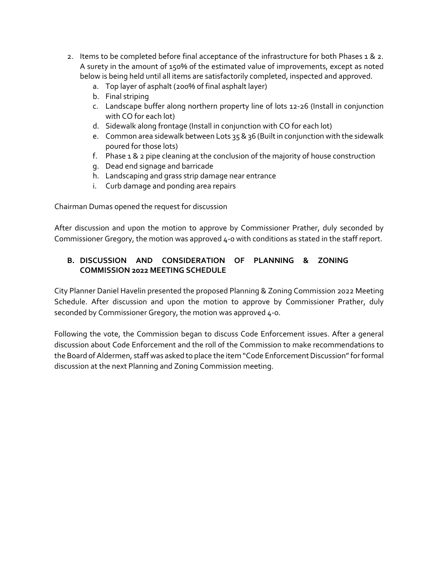- 2. Items to be completed before final acceptance of the infrastructure for both Phases 1 & 2. A surety in the amount of 150% of the estimated value of improvements, except as noted below is being held until all items are satisfactorily completed, inspected and approved.
	- a. Top layer of asphalt (200% of final asphalt layer)
	- b. Final striping
	- c. Landscape buffer along northern property line of lots 12-26 (Install in conjunction with CO for each lot)
	- d. Sidewalk along frontage (Install in conjunction with CO for each lot)
	- e. Common area sidewalk between Lots 35 & 36 (Built in conjunction with the sidewalk poured for those lots)
	- f. Phase 1 & 2 pipe cleaning at the conclusion of the majority of house construction
	- g. Dead end signage and barricade
	- h. Landscaping and grass strip damage near entrance
	- i. Curb damage and ponding area repairs

Chairman Dumas opened the request for discussion

After discussion and upon the motion to approve by Commissioner Prather, duly seconded by Commissioner Gregory, the motion was approved 4-0 with conditions as stated in the staff report.

## **B. DISCUSSION AND CONSIDERATION OF PLANNING & ZONING COMMISSION 2022 MEETING SCHEDULE**

City Planner Daniel Havelin presented the proposed Planning & Zoning Commission 2022 Meeting Schedule. After discussion and upon the motion to approve by Commissioner Prather, duly seconded by Commissioner Gregory, the motion was approved 4-0.

Following the vote, the Commission began to discuss Code Enforcement issues. After a general discussion about Code Enforcement and the roll of the Commission to make recommendations to the Board of Aldermen, staff was asked to place the item "Code Enforcement Discussion" for formal discussion at the next Planning and Zoning Commission meeting.